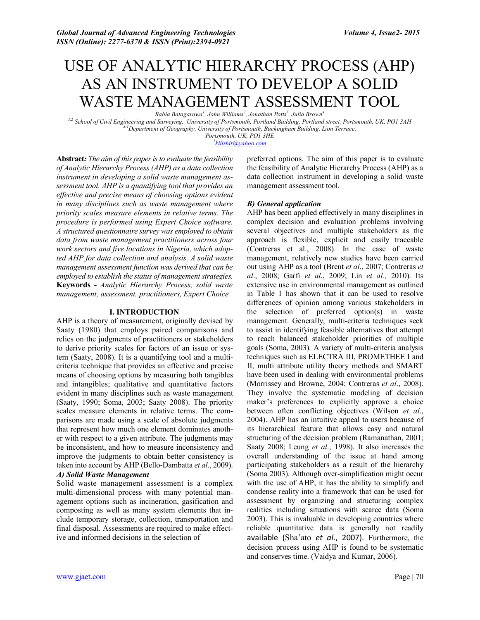# USE OF ANALYTIC HIERARCHY PROCESS (AHP) AS AN INSTRUMENT TO DEVELOP A SOLID WASTE MANAGEMENT ASSESSMENT TOOL

*Rabia Batagarawa<sup>1</sup> , John Williams<sup>2</sup> , Jonathan Potts3 , Julia Brown<sup>4</sup>*

*1,2 School of Civil Engineering and Surveying, University of Portsmouth, Portland Building, Portland street, Portsmouth, UK, PO1 3AH 3,4 Department of Geography, University of Portsmouth, Buckingham Building, Lion Terrace,* 

*Portsmouth, UK, PO1 3HE*

*1 kilishir@yahoo.com*

**Abstract***: The aim of this paper is to evaluate the feasibility of Analytic Hierarchy Process (AHP) as a data collection instrument in developing a solid waste management assessment tool. AHP is a quantifying tool that provides an effective and precise means of choosing options evident in many disciplines such as waste management where priority scales measure elements in relative terms. The procedure is performed using Expert Choice software. A structured questionnaire survey was employed to obtain data from waste management practitioners across four work sectors and five locations in Nigeria, which adopted AHP for data collection and analysis. A solid waste management assessment function was derived that can be employed to establish the status of management strategies.* **Keywords -** *Analytic Hierarchy Process, solid waste management, assessment, practitioners, Expert Choice*

#### **I. INTRODUCTION**

AHP is a theory of measurement, originally devised by Saaty (1980) that employs paired comparisons and relies on the judgments of practitioners or stakeholders to derive priority scales for factors of an issue or system (Saaty, 2008). It is a quantifying tool and a multicriteria technique that provides an effective and precise means of choosing options by measuring both tangibles and intangibles; qualitative and quantitative factors evident in many disciplines such as waste management (Saaty, 1990; Soma, 2003; Saaty 2008). The priority scales measure elements in relative terms. The comparisons are made using a scale of absolute judgments that represent how much one element dominates another with respect to a given attribute. The judgments may be inconsistent, and how to measure inconsistency and improve the judgments to obtain better consistency is taken into account by AHP (Bello-Dambatta *et al*., 2009). *A) Solid Waste Management*

Solid waste management assessment is a complex multi-dimensional process with many potential management options such as incineration, gasification and composting as well as many system elements that include temporary storage, collection, transportation and final disposal. Assessments are required to make effective and informed decisions in the selection of

preferred options. The aim of this paper is to evaluate the feasibility of Analytic Hierarchy Process (AHP) as a data collection instrument in developing a solid waste management assessment tool.

#### *B) General application*

AHP has been applied effectively in many disciplines in complex decision and evaluation problems involving several objectives and multiple stakeholders as the approach is flexible, explicit and easily traceable (Contreras et al., 2008). In the case of waste management, relatively new studies have been carried out using AHP as a tool (Brent *et al*., 2007; Contreras *et al*., 2008; Garfi *et al*., 2009; Lin *et al.,* 2010). Its extensive use in environmental management as outlined in Table 1 has shown that it can be used to resolve differences of opinion among various stakeholders in the selection of preferred option(s) in waste management. Generally, multi-criteria techniques seek to assist in identifying feasible alternatives that attempt to reach balanced stakeholder priorities of multiple goals (Soma, 2003). A variety of multi-criteria analysis techniques such as ELECTRA III, PROMETHEE I and II, multi attribute utility theory methods and SMART have been used in dealing with environmental problems (Morrissey and Browne, 2004; Contreras *et al*., 2008). They involve the systematic modeling of decision maker's preferences to explicitly approve a choice between often conflicting objectives (Wilson *et al*., 2004). AHP has an intuitive appeal to users because of its hierarchical feature that allows easy and natural structuring of the decision problem (Ramanathan, 2001; Saaty 2008; Leung *et al*., 1998). It also increases the overall understanding of the issue at hand among participating stakeholders as a result of the hierarchy (Soma 2003). Although over-simplification might occur with the use of AHP, it has the ability to simplify and condense reality into a framework that can be used for assessment by organizing and structuring complex realities including situations with scarce data (Soma 2003). This is invaluable in developing countries where reliable quantitative data is generally not readily available (Sha'ato *et al*., 2007). Furthermore, the decision process using AHP is found to be systematic and conserves time. (Vaidya and Kumar, 2006).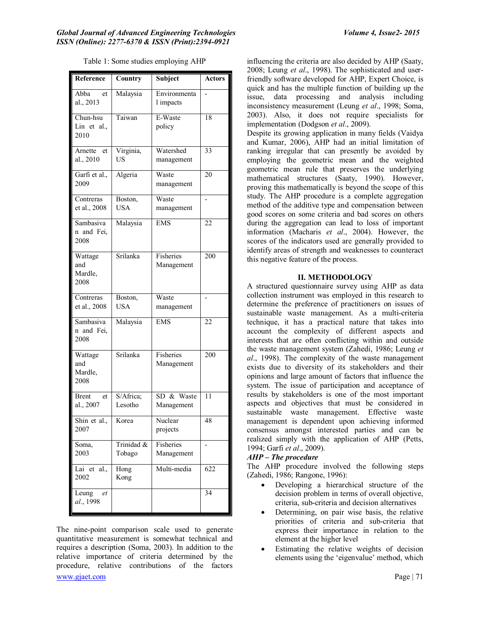| Reference                         | Country              | <b>Subject</b>            | Actors |
|-----------------------------------|----------------------|---------------------------|--------|
| Abba<br>et<br>al., 2013           | Malaysia             | Environmenta<br>l impacts |        |
| Chun-hsu<br>Lin et al.,<br>2010   | Taiwan               | E-Waste<br>policy         | 18     |
| Arnette et<br>al., 2010           | Virginia,<br>US      | Watershed<br>management   | 33     |
| Garfi et al.,<br>2009             | Algeria              | Waste<br>management       | 20     |
| Contreras<br>et al., 2008         | Boston,<br>USA       | Waste<br>management       |        |
| Sambasiva<br>n and Fei.<br>2008   | Malaysia             | <b>EMS</b>                | 22     |
| Wattage<br>and<br>Mardle,<br>2008 | Srilanka             | Fisheries<br>Management   | 200    |
| Contreras<br>et al., 2008         | Boston,<br>USA       | Waste<br>management       |        |
| Sambasiva<br>n and Fei,<br>2008   | Malaysia             | <b>EMS</b>                | 22     |
| Wattage<br>and<br>Mardle,<br>2008 | Srilanka             | Fisheries<br>Management   | 200    |
| <b>Brent</b><br>et<br>al., 2007   | S/Africa;<br>Lesotho | SD & Waste<br>Management  | 11     |
| Shin et al.,<br>2007              | Korea                | Nuclear<br>projects       | 48     |
| Soma,<br>2003                     | Trinidad &<br>Tobago | Fisheries<br>Management   |        |
| Lai et al.,<br>2002               | Hong<br>Kong         | Multi-media               | 622    |
| Leung<br>et<br>al., 1998          |                      |                           | 34     |

Table 1: Some studies employing AHP

www.gjaet.com Page | 71 The nine-point comparison scale used to generate quantitative measurement is somewhat technical and requires a description (Soma, 2003). In addition to the relative importance of criteria determined by the procedure, relative contributions of the factors

influencing the criteria are also decided by AHP (Saaty, 2008; Leung *et al*., 1998). The sophisticated and userfriendly software developed for AHP, Expert Choice, is quick and has the multiple function of building up the issue, data processing and analysis including inconsistency measurement (Leung *et al*., 1998; Soma, 2003). Also, it does not require specialists for implementation (Dodgson *et al*., 2009).

Despite its growing application in many fields (Vaidya and Kumar, 2006), AHP had an initial limitation of ranking irregular that can presently be avoided by employing the geometric mean and the weighted geometric mean rule that preserves the underlying mathematical structures (Saaty, 1990). However, proving this mathematically is beyond the scope of this study. The AHP procedure is a complete aggregation method of the additive type and compensation between good scores on some criteria and bad scores on others during the aggregation can lead to loss of important information (Macharis *et al*., 2004). However, the scores of the indicators used are generally provided to identify areas of strength and weaknesses to counteract this negative feature of the process.

## **II. METHODOLOGY**

A structured questionnaire survey using AHP as data collection instrument was employed in this research to determine the preference of practitioners on issues of sustainable waste management. As a multi-criteria technique, it has a practical nature that takes into account the complexity of different aspects and interests that are often conflicting within and outside the waste management system (Zahedi, 1986; Leung *et al*., 1998). The complexity of the waste management exists due to diversity of its stakeholders and their opinions and large amount of factors that influence the system. The issue of participation and acceptance of results by stakeholders is one of the most important aspects and objectives that must be considered in sustainable waste management. Effective waste management is dependent upon achieving informed consensus amongst interested parties and can be realized simply with the application of AHP (Petts, 1994; Garfi *et al*., 2009).

## *AHP – The procedure*

The AHP procedure involved the following steps (Zahedi, 1986; Rangone, 1996):

- Developing a hierarchical structure of the decision problem in terms of overall objective, criteria, sub-criteria and decision alternatives
- Determining, on pair wise basis, the relative priorities of criteria and sub-criteria that express their importance in relation to the element at the higher level
- Estimating the relative weights of decision elements using the 'eigenvalue' method, which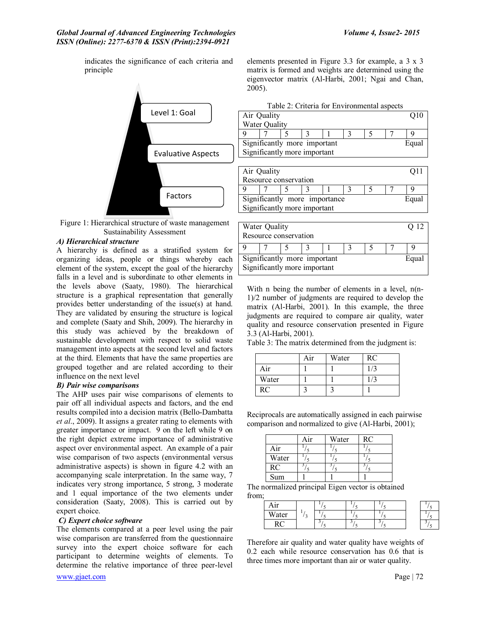indicates the significance of each criteria and principle





## *A) Hierarchical structure*

A hierarchy is defined as a stratified system for organizing ideas, people or things whereby each element of the system, except the goal of the hierarchy falls in a level and is subordinate to other elements in the levels above (Saaty, 1980). The hierarchical structure is a graphical representation that generally provides better understanding of the issue(s) at hand. They are validated by ensuring the structure is logical and complete (Saaty and Shih, 2009). The hierarchy in this study was achieved by the breakdown of sustainable development with respect to solid waste management into aspects at the second level and factors at the third. Elements that have the same properties are grouped together and are related according to their influence on the next level

#### *B) Pair wise comparisons*

The AHP uses pair wise comparisons of elements to pair off all individual aspects and factors, and the end results compiled into a decision matrix (Bello-Dambatta *et al*., 2009). It assigns a greater rating to elements with greater importance or impact. 9 on the left while 9 on the right depict extreme importance of administrative aspect over environmental aspect. An example of a pair wise comparison of two aspects (environmental versus administrative aspects) is shown in figure 4.2 with an accompanying scale interpretation. In the same way, 7 indicates very strong importance, 5 strong, 3 moderate and 1 equal importance of the two elements under consideration (Saaty, 2008). This is carried out by expert choice.

## *C) Expert choice software*

The elements compared at a peer level using the pair wise comparison are transferred from the questionnaire survey into the expert choice software for each participant to determine weights of elements. To determine the relative importance of three peer-level

elements presented in Figure 3.3 for example, a 3 x 3 matrix is formed and weights are determined using the eigenvector matrix (Al-Harbi, 2001; Ngai and Chan, 2005).

|                              | Table 2: Criteria for Environmental aspects |  |  |  |  |  |                 |  |
|------------------------------|---------------------------------------------|--|--|--|--|--|-----------------|--|
| Air Quality                  |                                             |  |  |  |  |  | Q <sub>10</sub> |  |
| Water Quality                |                                             |  |  |  |  |  |                 |  |
|                              |                                             |  |  |  |  |  |                 |  |
| Significantly more important |                                             |  |  |  |  |  | Equal           |  |
| Significantly more important |                                             |  |  |  |  |  |                 |  |
|                              |                                             |  |  |  |  |  |                 |  |

| Air Quality                            |  |  |  |  |  |  |  |  |
|----------------------------------------|--|--|--|--|--|--|--|--|
| Resource conservation                  |  |  |  |  |  |  |  |  |
|                                        |  |  |  |  |  |  |  |  |
| Significantly more importance<br>Equal |  |  |  |  |  |  |  |  |
| Significantly more important           |  |  |  |  |  |  |  |  |
|                                        |  |  |  |  |  |  |  |  |

| Water Quality<br>Resource conservation |  |  |  |  |  |  | O 12 |       |
|----------------------------------------|--|--|--|--|--|--|------|-------|
|                                        |  |  |  |  |  |  |      |       |
| Significantly more important           |  |  |  |  |  |  |      | Equal |
| Significantly more important           |  |  |  |  |  |  |      |       |

With n being the number of elements in a level,  $n(n-$ 1)/2 number of judgments are required to develop the matrix (Al-Harbi, 2001). In this example, the three judgments are required to compare air quality, water quality and resource conservation presented in Figure 3.3 (Al-Harbi, 2001).

Table 3: The matrix determined from the judgment is:

|       | Air | Water | <b>RC</b> |
|-------|-----|-------|-----------|
| Air   |     |       |           |
| Water |     |       |           |
| RC    |     |       |           |

Reciprocals are automatically assigned in each pairwise comparison and normalized to give (Al-Harbi, 2001);

|           | Air | Water | <b>RC</b> |
|-----------|-----|-------|-----------|
| Air       |     |       |           |
| Water     |     |       |           |
| <b>RC</b> |     |       |           |
| Sum       |     |       |           |

The normalized principal Eigen vector is obtained from;

| $+ +$ |  |  |  |
|-------|--|--|--|
| Water |  |  |  |
| . .   |  |  |  |

Therefore air quality and water quality have weights of 0.2 each while resource conservation has 0.6 that is three times more important than air or water quality.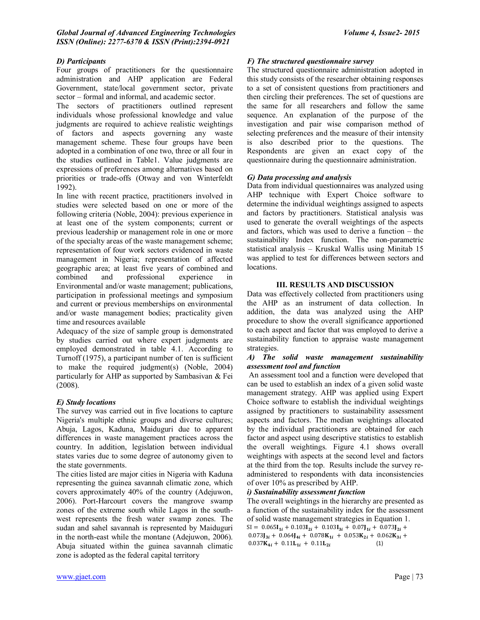## *D) Participants*

Four groups of practitioners for the questionnaire administration and AHP application are Federal Government, state/local government sector, private sector – formal and informal, and academic sector.

The sectors of practitioners outlined represent individuals whose professional knowledge and value judgments are required to achieve realistic weightings of factors and aspects governing any waste management scheme. These four groups have been adopted in a combination of one two, three or all four in the studies outlined in Table1. Value judgments are expressions of preferences among alternatives based on priorities or trade-offs (Otway and von Winterfeldt 1992).

In line with recent practice, practitioners involved in studies were selected based on one or more of the following criteria (Noble, 2004): previous experience in at least one of the system components; current or previous leadership or management role in one or more of the specialty areas of the waste management scheme; representation of four work sectors evidenced in waste management in Nigeria; representation of affected geographic area; at least five years of combined and combined and professional experience in Environmental and/or waste management; publications, participation in professional meetings and symposium and current or previous memberships on environmental and/or waste management bodies; practicality given time and resources available

Adequacy of the size of sample group is demonstrated by studies carried out where expert judgments are employed demonstrated in table 4.1. According to Turnoff (1975), a participant number of ten is sufficient to make the required judgment(s) (Noble, 2004) particularly for AHP as supported by Sambasivan & Fei (2008).

## *E) Study locations*

The survey was carried out in five locations to capture Nigeria's multiple ethnic groups and diverse cultures; Abuja, Lagos, Kaduna, Maiduguri due to apparent differences in waste management practices across the country. In addition, legislation between individual states varies due to some degree of autonomy given to the state governments.

The cities listed are major cities in Nigeria with Kaduna representing the guinea savannah climatic zone, which covers approximately 40% of the country (Adejuwon, 2006). Port-Harcourt covers the mangrove swamp zones of the extreme south while Lagos in the southwest represents the fresh water swamp zones. The sudan and sahel savannah is represented by Maiduguri in the north-east while the montane (Adejuwon, 2006). Abuja situated within the guinea savannah climatic zone is adopted as the federal capital territory

## *F) The structured questionnaire survey*

The structured questionnaire administration adopted in this study consists of the researcher obtaining responses to a set of consistent questions from practitioners and then circling their preferences. The set of questions are the same for all researchers and follow the same sequence. An explanation of the purpose of the investigation and pair wise comparison method of selecting preferences and the measure of their intensity is also described prior to the questions. The Respondents are given an exact copy of the questionnaire during the questionnaire administration.

## *G) Data processing and analysis*

Data from individual questionnaires was analyzed using AHP technique with Expert Choice software to determine the individual weightings assigned to aspects and factors by practitioners. Statistical analysis was used to generate the overall weightings of the aspects and factors, which was used to derive a function – the sustainability Index function. The non-parametric statistical analysis – Kruskal Wallis using Minitab 15 was applied to test for differences between sectors and locations.

## **III. RESULTS AND DISCUSSION**

Data was effectively collected from practitioners using the AHP as an instrument of data collection. In addition, the data was analyzed using the AHP procedure to show the overall significance apportioned to each aspect and factor that was employed to derive a sustainability function to appraise waste management strategies.

#### *A) The solid waste management sustainability assessment tool and function*

An assessment tool and a function were developed that can be used to establish an index of a given solid waste management strategy. AHP was applied using Expert Choice software to establish the individual weightings assigned by practitioners to sustainability assessment aspects and factors. The median weightings allocated by the individual practitioners are obtained for each factor and aspect using descriptive statistics to establish the overall weightings. Figure 4.1 shows overall weightings with aspects at the second level and factors at the third from the top. Results include the survey readministered to respondents with data inconsistencies of over 10% as prescribed by AHP.

## *i) Sustainability assessment function*

The overall weightings in the hierarchy are presented as a function of the sustainability index for the assessment of solid waste management strategies in Equation 1.  $SI = 0.065I_{1i} + 0.103I_{2i} + 0.103I_{3i} + 0.07J_{1i} + 0.073J_{2i} +$  $0.073$ **J**<sub>3i</sub> + 0.064**J**<sub>4i</sub> + 0.078**K**<sub>1i</sub> + 0.053**K**<sub>2i</sub> + 0.062**K**<sub>3i</sub> + (1) $0.037$ K<sub>4*i*</sub> +  $0.11$ L<sub>1*i*</sub> +  $0.11$ L<sub>2*i*</sub>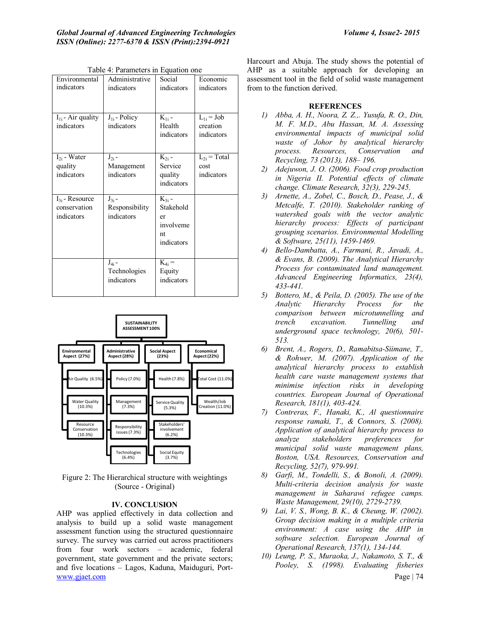| Environmental<br>indicators                       | Administrative<br>indicators               | Social<br>indicators                                           | Economic<br>indicators                   |
|---------------------------------------------------|--------------------------------------------|----------------------------------------------------------------|------------------------------------------|
| $I_{1i}$ - Air quality<br>indicators              | $J_{1i}$ - Policy<br>indicators            | $K_{1i}$ -<br>Health<br>indicators                             | $L_{1i} = Job$<br>creation<br>indicators |
| $I_{2i}$ - Water<br>quality<br>indicators         | $J_{2i}$ -<br>Management<br>indicators     | $K_{2i}$ -<br>Service<br>quality<br>indicators                 | $L_{2i}$ = Total<br>cost<br>indicators   |
| $I_{3i}$ - Resource<br>conservation<br>indicators | $J_{3i}$ -<br>Responsibility<br>indicators | $K_{3i}$ -<br>Stakehold<br>er<br>involveme<br>nt<br>indicators |                                          |
|                                                   | $J_{4i}$ -<br>Technologies<br>indicators   | $K_{4i} =$<br>Equity<br>indicators                             |                                          |

Table 4: Parameters in Equation one



Figure 2: The Hierarchical structure with weightings (Source - Original)

#### **IV. CONCLUSION**

www.gjaet.com Page | 74 AHP was applied effectively in data collection and analysis to build up a solid waste management assessment function using the structured questionnaire survey. The survey was carried out across practitioners from four work sectors – academic, federal government, state government and the private sectors; and five locations – Lagos, Kaduna, Maiduguri, Port-

Harcourt and Abuja. The study shows the potential of AHP as a suitable approach for developing an assessment tool in the field of solid waste management from to the function derived.

#### **REFERENCES**

- *1) Abba, A. H., Noora, Z. Z.,. Yusufa, R. O., Din, M. F. M.D., Abu Hassan, M. A. Assessing environmental impacts of municipal solid waste of Johor by analytical hierarchy process. Resources, Conservation and Recycling, 73 (2013), 188– 196.*
- *2) Adejuwon, J. O. (2006). Food crop production in Nigeria II. Potential effects of climate change. Climate Research, 32(3), 229-245.*
- *3) Arnette, A., Zobel, C., Bosch, D., Pease, J., & Metcalfe, T. (2010). Stakeholder ranking of watershed goals with the vector analytic hierarchy process: Effects of participant grouping scenarios. Environmental Modelling & Software, 25(11), 1459-1469.*
- *4) Bello-Dambatta, A., Farmani, R., Javadi, A., & Evans, B. (2009). The Analytical Hierarchy Process for contaminated land management. Advanced Engineering Informatics, 23(4), 433-441.*
- *5) Bottero, M., & Peila, D. (2005). The use of the Analytic Hierarchy Process for the comparison between microtunnelling and trench excavation. Tunnelling and underground space technology, 20(6), 501- 513.*
- *6) Brent, A., Rogers, D., Ramabitsa-Siimane, T., & Rohwer, M. (2007). Application of the analytical hierarchy process to establish health care waste management systems that minimise infection risks in developing countries. European Journal of Operational Research, 181(1), 403-424.*
- *7) Contreras, F., Hanaki, K., Al questionnaire response ramaki, T., & Connors, S. (2008). Application of analytical hierarchy process to analyze stakeholders preferences for municipal solid waste management plans, Boston, USA. Resources, Conservation and Recycling, 52(7), 979-991.*
- *8) Garfi, M., Tondelli, S., & Bonoli, A. (2009). Multi-criteria decision analysis for waste management in Saharawi refugee camps. Waste Management, 29(10), 2729-2739.*
- *9) Lai, V. S., Wong, B. K., & Cheung, W. (2002). Group decision making in a multiple criteria environment: A case using the AHP in software selection. European Journal of Operational Research, 137(1), 134-144.*
- *10) Leung, P. S., Muraoka, J., Nakamoto, S. T., & Pooley, S. (1998). Evaluating fisheries*